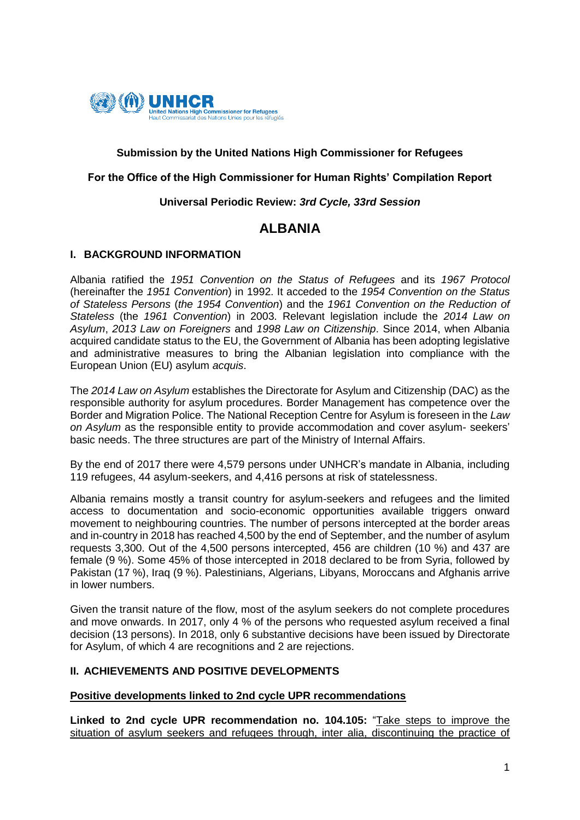

## **Submission by the United Nations High Commissioner for Refugees**

#### **For the Office of the High Commissioner for Human Rights' Compilation Report**

#### **Universal Periodic Review:** *3rd Cycle, 33rd Session*

# **ALBANIA**

#### **I. BACKGROUND INFORMATION**

Albania ratified the *1951 Convention on the Status of Refugees* and its *1967 Protocol* (hereinafter the *1951 Convention*) in 1992. It acceded to the *1954 Convention on the Status of Stateless Persons* (*the 1954 Convention*) and the *1961 Convention on the Reduction of Stateless* (the *1961 Convention*) in 2003. Relevant legislation include the *2014 Law on Asylum*, *2013 Law on Foreigners* and *1998 Law on Citizenship*. Since 2014, when Albania acquired candidate status to the EU, the Government of Albania has been adopting legislative and administrative measures to bring the Albanian legislation into compliance with the European Union (EU) asylum *acquis*.

The *2014 Law on Asylum* establishes the Directorate for Asylum and Citizenship (DAC) as the responsible authority for asylum procedures. Border Management has competence over the Border and Migration Police. The National Reception Centre for Asylum is foreseen in the *Law on Asylum* as the responsible entity to provide accommodation and cover asylum- seekers' basic needs. The three structures are part of the Ministry of Internal Affairs.

By the end of 2017 there were 4,579 persons under UNHCR's mandate in Albania, including 119 refugees, 44 asylum-seekers, and 4,416 persons at risk of statelessness.

Albania remains mostly a transit country for asylum-seekers and refugees and the limited access to documentation and socio-economic opportunities available triggers onward movement to neighbouring countries. The number of persons intercepted at the border areas and in-country in 2018 has reached 4,500 by the end of September, and the number of asylum requests 3,300. Out of the 4,500 persons intercepted, 456 are children (10 %) and 437 are female (9 %). Some 45% of those intercepted in 2018 declared to be from Syria, followed by Pakistan (17 %), Iraq (9 %). Palestinians, Algerians, Libyans, Moroccans and Afghanis arrive in lower numbers.

Given the transit nature of the flow, most of the asylum seekers do not complete procedures and move onwards. In 2017, only 4 % of the persons who requested asylum received a final decision (13 persons). In 2018, only 6 substantive decisions have been issued by Directorate for Asylum, of which 4 are recognitions and 2 are rejections.

## **II. ACHIEVEMENTS AND POSITIVE DEVELOPMENTS**

#### **Positive developments linked to 2nd cycle UPR recommendations**

**Linked to 2nd cycle UPR recommendation no. 104.105:** "Take steps to improve the situation of asylum seekers and refugees through, inter alia, discontinuing the practice of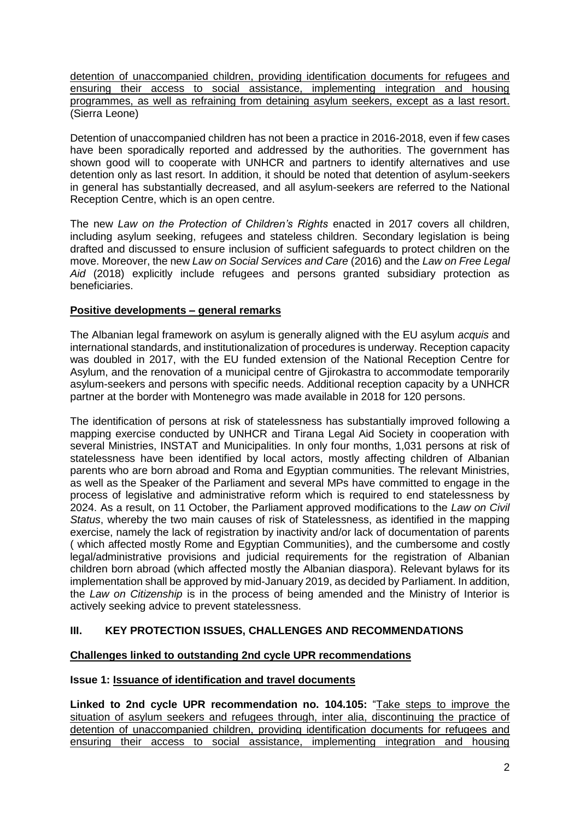detention of unaccompanied children, providing identification documents for refugees and ensuring their access to social assistance, implementing integration and housing programmes, as well as refraining from detaining asylum seekers, except as a last resort. (Sierra Leone)

Detention of unaccompanied children has not been a practice in 2016-2018, even if few cases have been sporadically reported and addressed by the authorities. The government has shown good will to cooperate with UNHCR and partners to identify alternatives and use detention only as last resort. In addition, it should be noted that detention of asylum-seekers in general has substantially decreased, and all asylum-seekers are referred to the National Reception Centre, which is an open centre.

The new *Law on the Protection of Children's Rights* enacted in 2017 covers all children, including asylum seeking, refugees and stateless children. Secondary legislation is being drafted and discussed to ensure inclusion of sufficient safeguards to protect children on the move. Moreover, the new *Law on Social Services and Care* (2016) and the *Law on Free Legal Aid* (2018) explicitly include refugees and persons granted subsidiary protection as beneficiaries.

# **Positive developments – general remarks**

The Albanian legal framework on asylum is generally aligned with the EU asylum *acquis* and international standards, and institutionalization of procedures is underway. Reception capacity was doubled in 2017, with the EU funded extension of the National Reception Centre for Asylum, and the renovation of a municipal centre of Gjirokastra to accommodate temporarily asylum-seekers and persons with specific needs. Additional reception capacity by a UNHCR partner at the border with Montenegro was made available in 2018 for 120 persons.

The identification of persons at risk of statelessness has substantially improved following a mapping exercise conducted by UNHCR and Tirana Legal Aid Society in cooperation with several Ministries, INSTAT and Municipalities. In only four months, 1,031 persons at risk of statelessness have been identified by local actors, mostly affecting children of Albanian parents who are born abroad and Roma and Egyptian communities. The relevant Ministries, as well as the Speaker of the Parliament and several MPs have committed to engage in the process of legislative and administrative reform which is required to end statelessness by 2024. As a result, on 11 October, the Parliament approved modifications to the *Law on Civil Status*, whereby the two main causes of risk of Statelessness, as identified in the mapping exercise, namely the lack of registration by inactivity and/or lack of documentation of parents ( which affected mostly Rome and Egyptian Communities), and the cumbersome and costly legal/administrative provisions and judicial requirements for the registration of Albanian children born abroad (which affected mostly the Albanian diaspora). Relevant bylaws for its implementation shall be approved by mid-January 2019, as decided by Parliament. In addition, the *Law on Citizenship* is in the process of being amended and the Ministry of Interior is actively seeking advice to prevent statelessness.

# **III. KEY PROTECTION ISSUES, CHALLENGES AND RECOMMENDATIONS**

## **Challenges linked to outstanding 2nd cycle UPR recommendations**

## **Issue 1: Issuance of identification and travel documents**

**Linked to 2nd cycle UPR recommendation no. 104.105:** "Take steps to improve the situation of asylum seekers and refugees through, inter alia, discontinuing the practice of detention of unaccompanied children, providing identification documents for refugees and ensuring their access to social assistance, implementing integration and housing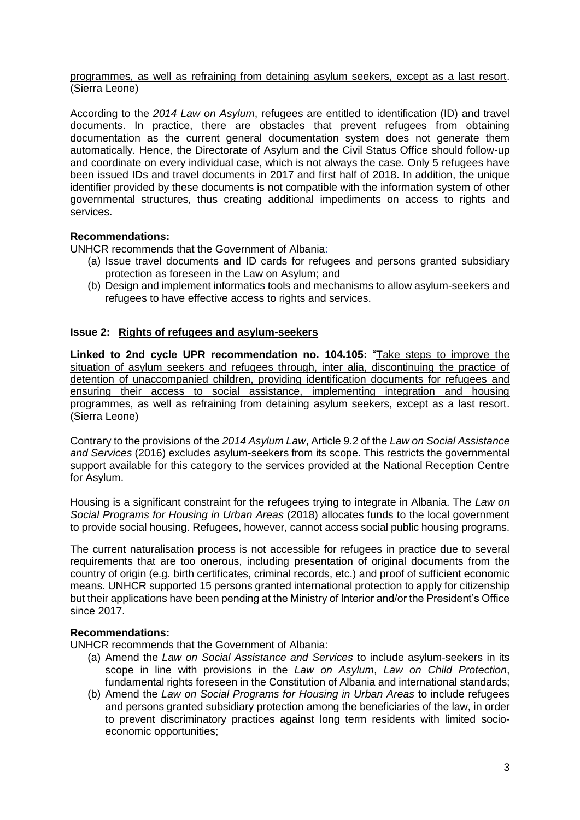programmes, as well as refraining from detaining asylum seekers, except as a last resort. (Sierra Leone)

According to the *2014 Law on Asylum*, refugees are entitled to identification (ID) and travel documents. In practice, there are obstacles that prevent refugees from obtaining documentation as the current general documentation system does not generate them automatically. Hence, the Directorate of Asylum and the Civil Status Office should follow-up and coordinate on every individual case, which is not always the case. Only 5 refugees have been issued IDs and travel documents in 2017 and first half of 2018. In addition, the unique identifier provided by these documents is not compatible with the information system of other governmental structures, thus creating additional impediments on access to rights and services.

## **Recommendations:**

UNHCR recommends that the Government of Albania:

- (a) Issue travel documents and ID cards for refugees and persons granted subsidiary protection as foreseen in the Law on Asylum; and
- (b) Design and implement informatics tools and mechanisms to allow asylum-seekers and refugees to have effective access to rights and services.

## **Issue 2: Rights of refugees and asylum-seekers**

**Linked to 2nd cycle UPR recommendation no. 104.105:** "Take steps to improve the situation of asylum seekers and refugees through, inter alia, discontinuing the practice of detention of unaccompanied children, providing identification documents for refugees and ensuring their access to social assistance, implementing integration and housing programmes, as well as refraining from detaining asylum seekers, except as a last resort. (Sierra Leone)

Contrary to the provisions of the *2014 Asylum Law*, Article 9.2 of the *Law on Social Assistance and Services* (2016) excludes asylum-seekers from its scope. This restricts the governmental support available for this category to the services provided at the National Reception Centre for Asylum.

Housing is a significant constraint for the refugees trying to integrate in Albania. The *Law on Social Programs for Housing in Urban Areas* (2018) allocates funds to the local government to provide social housing. Refugees, however, cannot access social public housing programs.

The current naturalisation process is not accessible for refugees in practice due to several requirements that are too onerous, including presentation of original documents from the country of origin (e.g. birth certificates, criminal records, etc.) and proof of sufficient economic means. UNHCR supported 15 persons granted international protection to apply for citizenship but their applications have been pending at the Ministry of Interior and/or the President's Office since 2017.

## **Recommendations:**

UNHCR recommends that the Government of Albania:

- (a) Amend the *Law on Social Assistance and Services* to include asylum-seekers in its scope in line with provisions in the *Law on Asylum*, *Law on Child Protection*, fundamental rights foreseen in the Constitution of Albania and international standards;
- (b) Amend the *Law on Social Programs for Housing in Urban Areas* to include refugees and persons granted subsidiary protection among the beneficiaries of the law, in order to prevent discriminatory practices against long term residents with limited socioeconomic opportunities;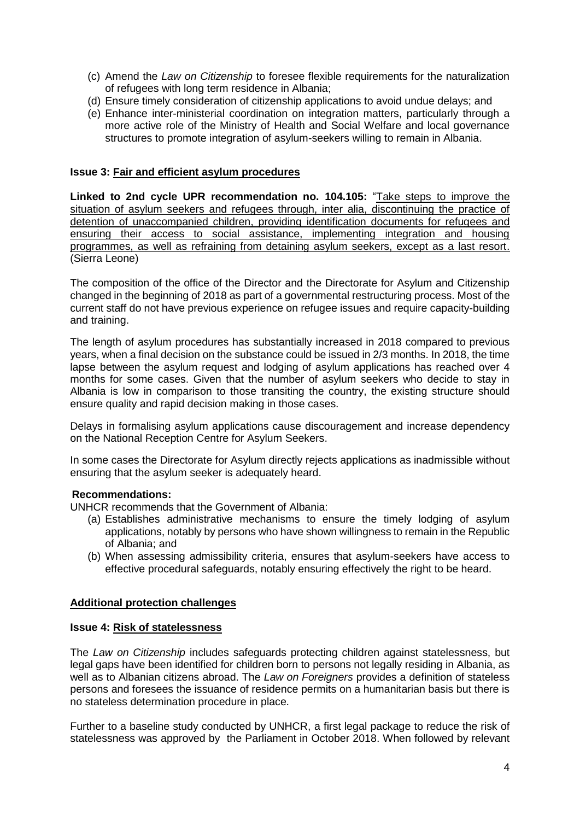- (c) Amend the *Law on Citizenship* to foresee flexible requirements for the naturalization of refugees with long term residence in Albania;
- (d) Ensure timely consideration of citizenship applications to avoid undue delays; and
- (e) Enhance inter-ministerial coordination on integration matters, particularly through a more active role of the Ministry of Health and Social Welfare and local governance structures to promote integration of asylum-seekers willing to remain in Albania.

### **Issue 3: Fair and efficient asylum procedures**

**Linked to 2nd cycle UPR recommendation no. 104.105:** "Take steps to improve the situation of asylum seekers and refugees through, inter alia, discontinuing the practice of detention of unaccompanied children, providing identification documents for refugees and ensuring their access to social assistance, implementing integration and housing programmes, as well as refraining from detaining asylum seekers, except as a last resort. (Sierra Leone)

The composition of the office of the Director and the Directorate for Asylum and Citizenship changed in the beginning of 2018 as part of a governmental restructuring process. Most of the current staff do not have previous experience on refugee issues and require capacity-building and training.

The length of asylum procedures has substantially increased in 2018 compared to previous years, when a final decision on the substance could be issued in 2/3 months. In 2018, the time lapse between the asylum request and lodging of asylum applications has reached over 4 months for some cases. Given that the number of asylum seekers who decide to stay in Albania is low in comparison to those transiting the country, the existing structure should ensure quality and rapid decision making in those cases.

Delays in formalising asylum applications cause discouragement and increase dependency on the National Reception Centre for Asylum Seekers.

In some cases the Directorate for Asylum directly rejects applications as inadmissible without ensuring that the asylum seeker is adequately heard.

#### **Recommendations:**

UNHCR recommends that the Government of Albania:

- (a) Establishes administrative mechanisms to ensure the timely lodging of asylum applications, notably by persons who have shown willingness to remain in the Republic of Albania; and
- (b) When assessing admissibility criteria, ensures that asylum-seekers have access to effective procedural safeguards, notably ensuring effectively the right to be heard.

#### **Additional protection challenges**

#### **Issue 4: Risk of statelessness**

The *Law on Citizenship* includes safeguards protecting children against statelessness, but legal gaps have been identified for children born to persons not legally residing in Albania, as well as to Albanian citizens abroad. The *Law on Foreigners* provides a definition of stateless persons and foresees the issuance of residence permits on a humanitarian basis but there is no stateless determination procedure in place.

Further to a baseline study conducted by UNHCR, a first legal package to reduce the risk of statelessness was approved by the Parliament in October 2018. When followed by relevant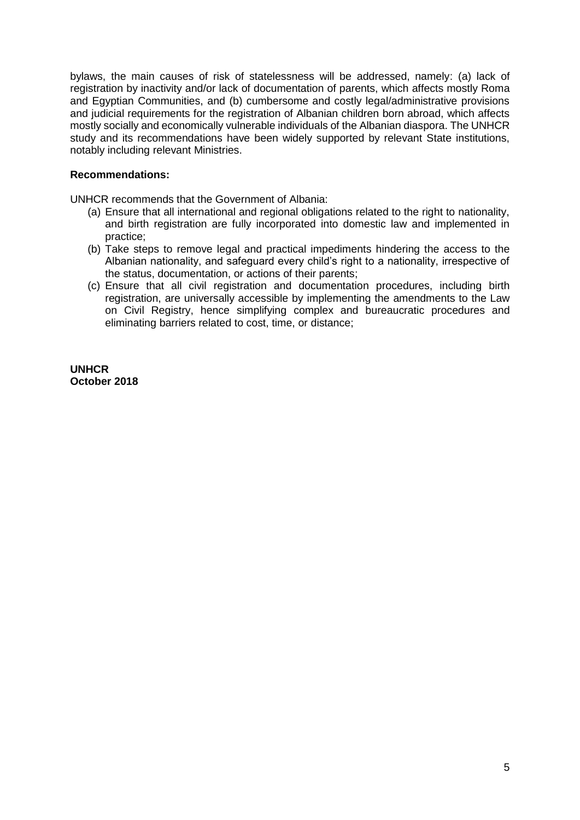bylaws, the main causes of risk of statelessness will be addressed, namely: (a) lack of registration by inactivity and/or lack of documentation of parents, which affects mostly Roma and Egyptian Communities, and (b) cumbersome and costly legal/administrative provisions and judicial requirements for the registration of Albanian children born abroad, which affects mostly socially and economically vulnerable individuals of the Albanian diaspora. The UNHCR study and its recommendations have been widely supported by relevant State institutions, notably including relevant Ministries.

### **Recommendations:**

UNHCR recommends that the Government of Albania:

- (a) Ensure that all international and regional obligations related to the right to nationality, and birth registration are fully incorporated into domestic law and implemented in practice;
- (b) Take steps to remove legal and practical impediments hindering the access to the Albanian nationality, and safeguard every child's right to a nationality, irrespective of the status, documentation, or actions of their parents;
- (c) Ensure that all civil registration and documentation procedures, including birth registration, are universally accessible by implementing the amendments to the Law on Civil Registry, hence simplifying complex and bureaucratic procedures and eliminating barriers related to cost, time, or distance;

**UNHCR October 2018**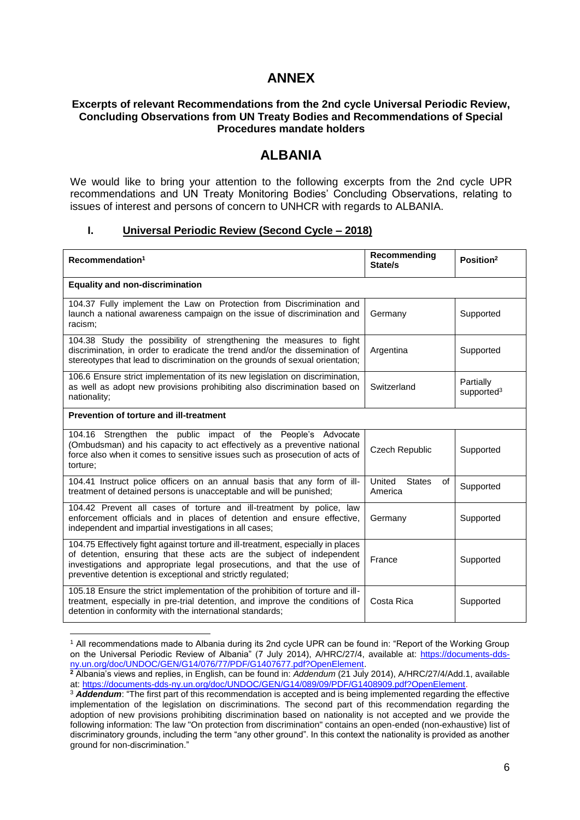# **ANNEX**

#### **Excerpts of relevant Recommendations from the 2nd cycle Universal Periodic Review, Concluding Observations from UN Treaty Bodies and Recommendations of Special Procedures mandate holders**

# **ALBANIA**

We would like to bring your attention to the following excerpts from the 2nd cycle UPR recommendations and UN Treaty Monitoring Bodies' Concluding Observations, relating to issues of interest and persons of concern to UNHCR with regards to ALBANIA.

## **I. Universal Periodic Review (Second Cycle – 2018)**

| Recommendation <sup>1</sup>                                                                                                                                                                                                                                                                        | Recommending<br>State/s                  | Position <sup>2</sup>               |  |  |
|----------------------------------------------------------------------------------------------------------------------------------------------------------------------------------------------------------------------------------------------------------------------------------------------------|------------------------------------------|-------------------------------------|--|--|
| <b>Equality and non-discrimination</b>                                                                                                                                                                                                                                                             |                                          |                                     |  |  |
| 104.37 Fully implement the Law on Protection from Discrimination and<br>launch a national awareness campaign on the issue of discrimination and<br>racism:                                                                                                                                         | Germany                                  | Supported                           |  |  |
| 104.38 Study the possibility of strengthening the measures to fight<br>discrimination, in order to eradicate the trend and/or the dissemination of<br>stereotypes that lead to discrimination on the grounds of sexual orientation;                                                                | Argentina                                | Supported                           |  |  |
| 106.6 Ensure strict implementation of its new legislation on discrimination,<br>as well as adopt new provisions prohibiting also discrimination based on<br>nationality;                                                                                                                           | Switzerland                              | Partially<br>supported <sup>3</sup> |  |  |
| Prevention of torture and ill-treatment                                                                                                                                                                                                                                                            |                                          |                                     |  |  |
| 104.16 Strengthen the public impact of the People's Advocate<br>(Ombudsman) and his capacity to act effectively as a preventive national<br>force also when it comes to sensitive issues such as prosecution of acts of<br>torture:                                                                | Czech Republic                           | Supported                           |  |  |
| 104.41 Instruct police officers on an annual basis that any form of ill-<br>treatment of detained persons is unacceptable and will be punished;                                                                                                                                                    | United<br><b>States</b><br>of<br>America | Supported                           |  |  |
| 104.42 Prevent all cases of torture and ill-treatment by police, law<br>enforcement officials and in places of detention and ensure effective,<br>independent and impartial investigations in all cases;                                                                                           | Germany                                  | Supported                           |  |  |
| 104.75 Effectively fight against torture and ill-treatment, especially in places<br>of detention, ensuring that these acts are the subject of independent<br>investigations and appropriate legal prosecutions, and that the use of<br>preventive detention is exceptional and strictly regulated; | France                                   | Supported                           |  |  |
| 105.18 Ensure the strict implementation of the prohibition of torture and ill-<br>treatment, especially in pre-trial detention, and improve the conditions of<br>detention in conformity with the international standards;                                                                         | Costa Rica                               | Supported                           |  |  |

<sup>1</sup> All recommendations made to Albania during its 2nd cycle UPR can be found in: "Report of the Working Group on the Universal Periodic Review of Albania" (7 July 2014), A/HRC/27/4, available at: [https://documents-dds](https://documents-dds-ny.un.org/doc/UNDOC/GEN/G14/076/77/PDF/G1407677.pdf?OpenElement)[ny.un.org/doc/UNDOC/GEN/G14/076/77/PDF/G1407677.pdf?OpenElement.](https://documents-dds-ny.un.org/doc/UNDOC/GEN/G14/076/77/PDF/G1407677.pdf?OpenElement)

**.** 

**<sup>2</sup>** Albania's views and replies, in English, can be found in: *Addendum* (21 July 2014), A/HRC/27/4/Add.1, available at: [https://documents-dds-ny.un.org/doc/UNDOC/GEN/G14/089/09/PDF/G1408909.pdf?OpenElement.](https://documents-dds-ny.un.org/doc/UNDOC/GEN/G14/089/09/PDF/G1408909.pdf?OpenElement)

<sup>3</sup> *Addendum*: "The first part of this recommendation is accepted and is being implemented regarding the effective implementation of the legislation on discriminations. The second part of this recommendation regarding the adoption of new provisions prohibiting discrimination based on nationality is not accepted and we provide the following information: The law "On protection from discrimination" contains an open-ended (non-exhaustive) list of discriminatory grounds, including the term "any other ground". In this context the nationality is provided as another ground for non-discrimination."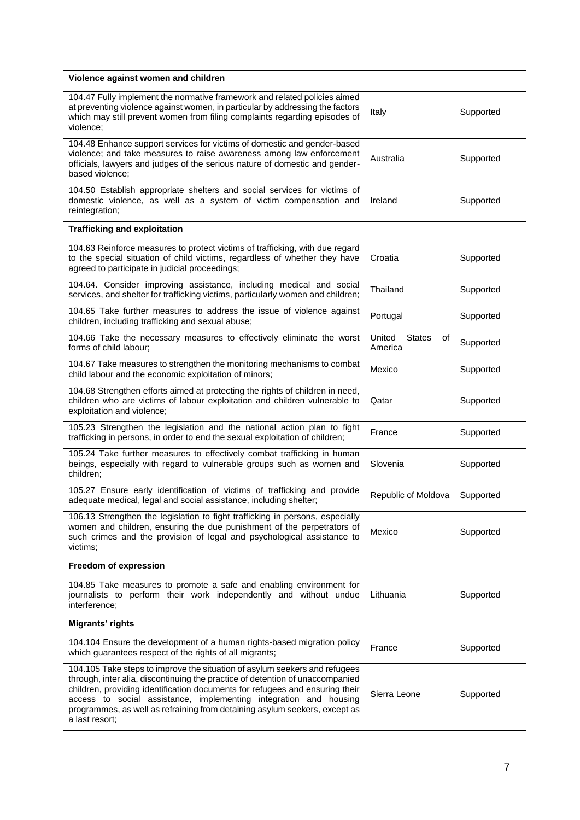| Violence against women and children                                                                                                                                                                                                                                                                                                                                                                              |                                          |           |
|------------------------------------------------------------------------------------------------------------------------------------------------------------------------------------------------------------------------------------------------------------------------------------------------------------------------------------------------------------------------------------------------------------------|------------------------------------------|-----------|
| 104.47 Fully implement the normative framework and related policies aimed<br>at preventing violence against women, in particular by addressing the factors<br>which may still prevent women from filing complaints regarding episodes of<br>violence;                                                                                                                                                            | Italy                                    | Supported |
| 104.48 Enhance support services for victims of domestic and gender-based<br>violence; and take measures to raise awareness among law enforcement<br>officials, lawyers and judges of the serious nature of domestic and gender-<br>based violence;                                                                                                                                                               | Australia                                | Supported |
| 104.50 Establish appropriate shelters and social services for victims of<br>domestic violence, as well as a system of victim compensation and<br>reintegration;                                                                                                                                                                                                                                                  | Ireland                                  | Supported |
| <b>Trafficking and exploitation</b>                                                                                                                                                                                                                                                                                                                                                                              |                                          |           |
| 104.63 Reinforce measures to protect victims of trafficking, with due regard<br>to the special situation of child victims, regardless of whether they have<br>agreed to participate in judicial proceedings;                                                                                                                                                                                                     | Croatia                                  | Supported |
| 104.64. Consider improving assistance, including medical and social<br>services, and shelter for trafficking victims, particularly women and children;                                                                                                                                                                                                                                                           | Thailand                                 | Supported |
| 104.65 Take further measures to address the issue of violence against<br>children, including trafficking and sexual abuse;                                                                                                                                                                                                                                                                                       | Portugal                                 | Supported |
| 104.66 Take the necessary measures to effectively eliminate the worst<br>forms of child labour;                                                                                                                                                                                                                                                                                                                  | United<br><b>States</b><br>οf<br>America | Supported |
| 104.67 Take measures to strengthen the monitoring mechanisms to combat<br>child labour and the economic exploitation of minors;                                                                                                                                                                                                                                                                                  | Mexico                                   | Supported |
| 104.68 Strengthen efforts aimed at protecting the rights of children in need,<br>children who are victims of labour exploitation and children vulnerable to<br>exploitation and violence;                                                                                                                                                                                                                        | Qatar                                    | Supported |
| 105.23 Strengthen the legislation and the national action plan to fight<br>trafficking in persons, in order to end the sexual exploitation of children;                                                                                                                                                                                                                                                          | France                                   | Supported |
| 105.24 Take further measures to effectively combat trafficking in human<br>beings, especially with regard to vulnerable groups such as women and<br>children;                                                                                                                                                                                                                                                    | Slovenia                                 | Supported |
| 105.27 Ensure early identification of victims of trafficking and provide<br>adequate medical, legal and social assistance, including shelter;                                                                                                                                                                                                                                                                    | Republic of Moldova                      | Supported |
| 106.13 Strengthen the legislation to fight trafficking in persons, especially<br>women and children, ensuring the due punishment of the perpetrators of<br>such crimes and the provision of legal and psychological assistance to<br>victims;                                                                                                                                                                    | Mexico                                   | Supported |
| Freedom of expression                                                                                                                                                                                                                                                                                                                                                                                            |                                          |           |
| 104.85 Take measures to promote a safe and enabling environment for<br>journalists to perform their work independently and without undue<br>interference;                                                                                                                                                                                                                                                        | Lithuania                                | Supported |
| Migrants' rights                                                                                                                                                                                                                                                                                                                                                                                                 |                                          |           |
| 104.104 Ensure the development of a human rights-based migration policy<br>which guarantees respect of the rights of all migrants;                                                                                                                                                                                                                                                                               | France                                   | Supported |
| 104.105 Take steps to improve the situation of asylum seekers and refugees<br>through, inter alia, discontinuing the practice of detention of unaccompanied<br>children, providing identification documents for refugees and ensuring their<br>access to social assistance, implementing integration and housing<br>programmes, as well as refraining from detaining asylum seekers, except as<br>a last resort; | Sierra Leone                             | Supported |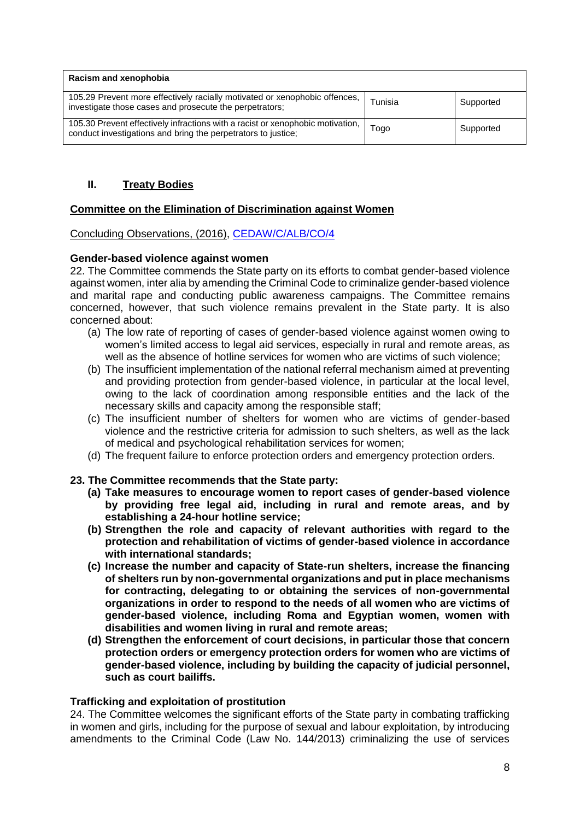| Racism and xenophobia                                                                                                                           |         |           |  |
|-------------------------------------------------------------------------------------------------------------------------------------------------|---------|-----------|--|
| 105.29 Prevent more effectively racially motivated or xenophobic offences,<br>investigate those cases and prosecute the perpetrators;           | Tunisia | Supported |  |
| 105.30 Prevent effectively infractions with a racist or xenophobic motivation,<br>conduct investigations and bring the perpetrators to justice; | l ogol  | Supported |  |

# **II. Treaty Bodies**

## **Committee on the Elimination of Discrimination against Women**

Concluding Observations, (2016), [CEDAW/C/ALB/CO/4](file:///C:/Users/TRUSCAN/Documents/UPR33/LoE/Albania_CEDAW_2016.pdf)

## **Gender-based violence against women**

22. The Committee commends the State party on its efforts to combat gender-based violence against women, inter alia by amending the Criminal Code to criminalize gender-based violence and marital rape and conducting public awareness campaigns. The Committee remains concerned, however, that such violence remains prevalent in the State party. It is also concerned about:

- (a) The low rate of reporting of cases of gender-based violence against women owing to women's limited access to legal aid services, especially in rural and remote areas, as well as the absence of hotline services for women who are victims of such violence;
- (b) The insufficient implementation of the national referral mechanism aimed at preventing and providing protection from gender-based violence, in particular at the local level, owing to the lack of coordination among responsible entities and the lack of the necessary skills and capacity among the responsible staff;
- (c) The insufficient number of shelters for women who are victims of gender-based violence and the restrictive criteria for admission to such shelters, as well as the lack of medical and psychological rehabilitation services for women;
- (d) The frequent failure to enforce protection orders and emergency protection orders.

## **23. The Committee recommends that the State party:**

- **(a) Take measures to encourage women to report cases of gender-based violence by providing free legal aid, including in rural and remote areas, and by establishing a 24-hour hotline service;**
- **(b) Strengthen the role and capacity of relevant authorities with regard to the protection and rehabilitation of victims of gender-based violence in accordance with international standards;**
- **(c) Increase the number and capacity of State-run shelters, increase the financing of shelters run by non-governmental organizations and put in place mechanisms for contracting, delegating to or obtaining the services of non-governmental organizations in order to respond to the needs of all women who are victims of gender-based violence, including Roma and Egyptian women, women with disabilities and women living in rural and remote areas;**
- **(d) Strengthen the enforcement of court decisions, in particular those that concern protection orders or emergency protection orders for women who are victims of gender-based violence, including by building the capacity of judicial personnel, such as court bailiffs.**

## **Trafficking and exploitation of prostitution**

24. The Committee welcomes the significant efforts of the State party in combating trafficking in women and girls, including for the purpose of sexual and labour exploitation, by introducing amendments to the Criminal Code (Law No. 144/2013) criminalizing the use of services